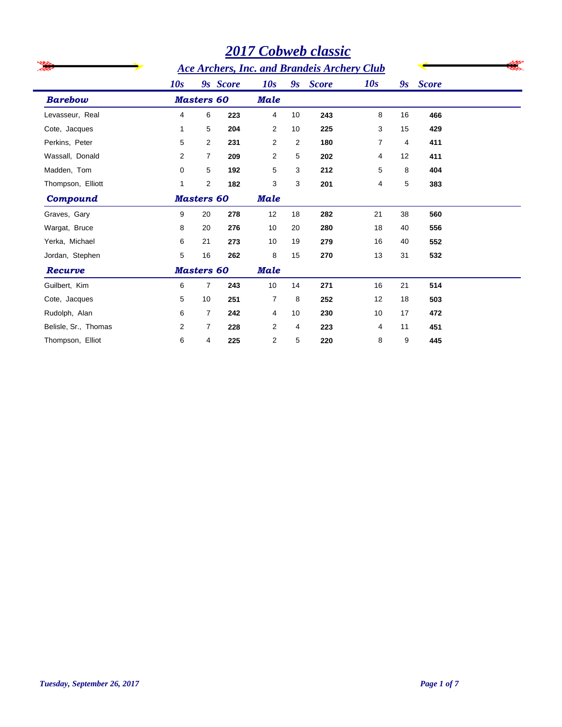|                      |              |                   |          |             |                | <b>2017 Cobweb classic</b>                         |                |                           |              |  |
|----------------------|--------------|-------------------|----------|-------------|----------------|----------------------------------------------------|----------------|---------------------------|--------------|--|
|                      |              |                   |          |             |                | <b>Ace Archers, Inc. and Brandeis Archery Club</b> |                |                           |              |  |
|                      | 10s          |                   | 9s Score | 10s         |                | 9s Score                                           | 10s            | $\mathbf{g}_{\mathbf{S}}$ | <b>Score</b> |  |
| <b>Barebow</b>       |              | <b>Masters 60</b> |          | <b>Male</b> |                |                                                    |                |                           |              |  |
| Levasseur, Real      | 4            | 6                 | 223      | 4           | 10             | 243                                                | 8              | 16                        | 466          |  |
| Cote, Jacques        | $\mathbf{1}$ | 5                 | 204      | 2           | 10             | 225                                                | 3              | 15                        | 429          |  |
| Perkins, Peter       | 5            | $\overline{2}$    | 231      | 2           | $\overline{2}$ | 180                                                | $\overline{7}$ | 4                         | 411          |  |
| Wassall, Donald      | 2            | 7                 | 209      | 2           | 5              | 202                                                | 4              | 12                        | 411          |  |
| Madden, Tom          | $\mathbf 0$  | 5                 | 192      | 5           | 3              | 212                                                | 5              | 8                         | 404          |  |
| Thompson, Elliott    | 1            | 2                 | 182      | 3           | 3              | 201                                                | 4              | 5                         | 383          |  |
| Compound             |              | <b>Masters 60</b> |          | <b>Male</b> |                |                                                    |                |                           |              |  |
| Graves, Gary         | 9            | 20                | 278      | 12          | 18             | 282                                                | 21             | 38                        | 560          |  |
| Wargat, Bruce        | 8            | 20                | 276      | 10          | 20             | 280                                                | 18             | 40                        | 556          |  |
| Yerka, Michael       | 6            | 21                | 273      | 10          | 19             | 279                                                | 16             | 40                        | 552          |  |
| Jordan, Stephen      | 5            | 16                | 262      | 8           | 15             | 270                                                | 13             | 31                        | 532          |  |
| <b>Recurve</b>       |              | <b>Masters 60</b> |          | <b>Male</b> |                |                                                    |                |                           |              |  |
| Guilbert, Kim        | 6            | $\overline{7}$    | 243      | 10          | 14             | 271                                                | 16             | 21                        | 514          |  |
| Cote, Jacques        | 5            | 10                | 251      | 7           | 8              | 252                                                | 12             | 18                        | 503          |  |
| Rudolph, Alan        | 6            | 7                 | 242      | 4           | 10             | 230                                                | 10             | 17                        | 472          |  |
| Belisle, Sr., Thomas | 2            | 7                 | 228      | 2           | 4              | 223                                                | 4              | 11                        | 451          |  |
| Thompson, Elliot     | 6            | 4                 | 225      | 2           | 5              | 220                                                | 8              | 9                         | 445          |  |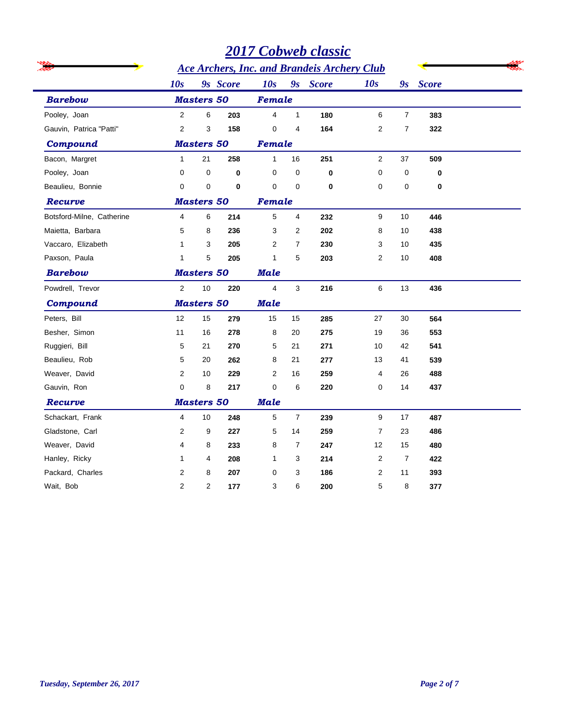|                           |                |                   |          |                |                | <b>2017 Cobweb classic</b>                         |                         |                  |              |  |
|---------------------------|----------------|-------------------|----------|----------------|----------------|----------------------------------------------------|-------------------------|------------------|--------------|--|
|                           |                |                   |          |                |                | <b>Ace Archers, Inc. and Brandeis Archery Club</b> |                         |                  |              |  |
|                           | 10s            |                   | 9s Score | 10s            |                | 9s Score                                           | 10s                     | 9s               | <b>Score</b> |  |
| <b>Barebow</b>            |                | <b>Masters 50</b> |          | Female         |                |                                                    |                         |                  |              |  |
| Pooley, Joan              | $\overline{2}$ | 6                 | 203      | $\overline{4}$ | $\mathbf{1}$   | 180                                                | 6                       | $\overline{7}$   | 383          |  |
| Gauvin, Patrica "Patti"   | $\overline{2}$ | 3                 | 158      | 0              | $\overline{4}$ | 164                                                | $\overline{\mathbf{c}}$ | $\boldsymbol{7}$ | 322          |  |
| <b>Compound</b>           |                | <b>Masters 50</b> |          | Female         |                |                                                    |                         |                  |              |  |
| Bacon, Margret            | $\mathbf{1}$   | 21                | 258      | $\mathbf{1}$   | 16             | 251                                                | $\overline{2}$          | 37               | 509          |  |
| Pooley, Joan              | $\Omega$       | $\mathbf 0$       | 0        | 0              | $\mathbf 0$    | 0                                                  | $\mathbf 0$             | $\mathbf 0$      | $\mathbf 0$  |  |
| Beaulieu, Bonnie          | 0              | $\mathbf 0$       | 0        | 0              | $\mathbf 0$    | 0                                                  | $\mathbf 0$             | $\mathbf 0$      | $\bf{0}$     |  |
| Recurve                   |                | <b>Masters 50</b> |          | Female         |                |                                                    |                         |                  |              |  |
| Botsford-Milne, Catherine | $\overline{4}$ | 6                 | 214      | 5              | $\overline{4}$ | 232                                                | 9                       | 10               | 446          |  |
| Maietta, Barbara          | 5              | 8                 | 236      | 3              | $\overline{2}$ | 202                                                | 8                       | 10               | 438          |  |
| Vaccaro, Elizabeth        | 1              | 3                 | 205      | $\overline{2}$ | $\overline{7}$ | 230                                                | 3                       | 10               | 435          |  |
| Paxson, Paula             | $\mathbf{1}$   | 5                 | 205      | $\mathbf{1}$   | 5              | 203                                                | $\overline{2}$          | 10               | 408          |  |
| <b>Barebow</b>            |                | <b>Masters 50</b> |          | Male           |                |                                                    |                         |                  |              |  |
| Powdrell, Trevor          | 2              | 10                | 220      | $\overline{4}$ | 3              | 216                                                | 6                       | 13               | 436          |  |
| <b>Compound</b>           |                | <b>Masters 50</b> |          | <b>Male</b>    |                |                                                    |                         |                  |              |  |
| Peters, Bill              | 12             | 15                | 279      | 15             | 15             | 285                                                | 27                      | 30               | 564          |  |
| Besher, Simon             | 11             | 16                | 278      | 8              | 20             | 275                                                | 19                      | 36               | 553          |  |
| Ruggieri, Bill            | 5              | 21                | 270      | 5              | 21             | 271                                                | 10                      | 42               | 541          |  |
| Beaulieu, Rob             | 5              | 20                | 262      | 8              | 21             | 277                                                | 13                      | 41               | 539          |  |
| Weaver, David             | $\overline{2}$ | 10                | 229      | 2              | 16             | 259                                                | $\overline{4}$          | 26               | 488          |  |
| Gauvin, Ron               | $\mathbf 0$    | 8                 | 217      | 0              | 6              | 220                                                | $\mathbf 0$             | 14               | 437          |  |
| <b>Recurve</b>            |                | <b>Masters 50</b> |          | <b>Male</b>    |                |                                                    |                         |                  |              |  |
| Schackart, Frank          | $\overline{4}$ | 10                | 248      | 5              | $\overline{7}$ | 239                                                | 9                       | 17               | 487          |  |
| Gladstone, Carl           | $\overline{2}$ | 9                 | 227      | 5              | 14             | 259                                                | $\overline{7}$          | 23               | 486          |  |
| Weaver, David             | 4              | 8                 | 233      | 8              | $\overline{7}$ | 247                                                | 12                      | 15               | 480          |  |
| Hanley, Ricky             | 1              | 4                 | 208      | 1              | 3              | 214                                                | 2                       | $\overline{7}$   | 422          |  |
| Packard, Charles          | $\overline{2}$ | 8                 | 207      | 0              | 3              | 186                                                | 2                       | 11               | 393          |  |
| Wait, Bob                 | $\overline{2}$ | $\overline{2}$    | 177      | 3              | 6              | 200                                                | 5                       | 8                | 377          |  |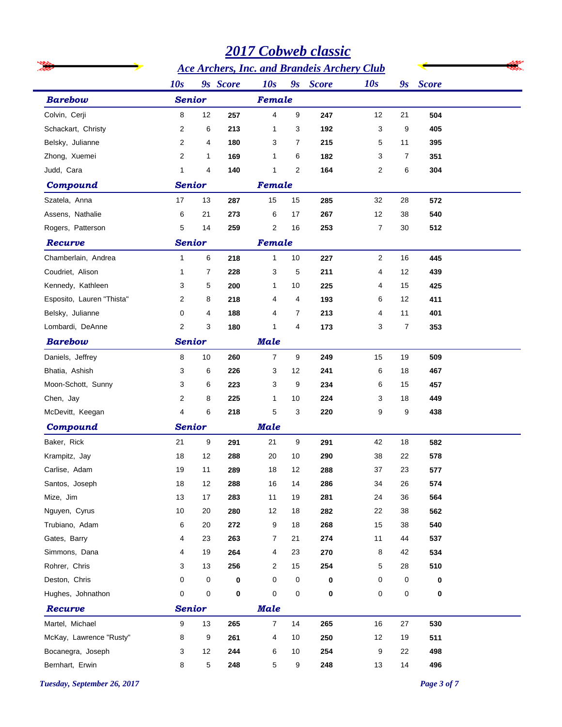|                           |                                                    |              |          |                |             | <b>2017 Cobweb classic</b> |                |    |          |  |
|---------------------------|----------------------------------------------------|--------------|----------|----------------|-------------|----------------------------|----------------|----|----------|--|
|                           | <b>Ace Archers, Inc. and Brandeis Archery Club</b> |              |          |                |             |                            |                |    |          |  |
|                           | 10s                                                |              | 9s Score | 10s            |             | 9s Score                   | 10s            |    | 9s Score |  |
| <b>Barebow</b>            | <b>Senior</b>                                      |              |          | Female         |             |                            |                |    |          |  |
| Colvin, Cerji             | 8                                                  | 12           | 257      | 4              | 9           | 247                        | 12             | 21 | 504      |  |
| Schackart, Christy        | 2                                                  | 6            | 213      | $\mathbf{1}$   | 3           | 192                        | 3              | 9  | 405      |  |
| Belsky, Julianne          | 2                                                  | 4            | 180      | 3              | 7           | 215                        | 5              | 11 | 395      |  |
| Zhong, Xuemei             | 2                                                  | $\mathbf{1}$ | 169      | $\mathbf{1}$   | 6           | 182                        | 3              | 7  | 351      |  |
| Judd, Cara                | 1                                                  | 4            | 140      | 1              | 2           | 164                        | 2              | 6  | 304      |  |
| Compound                  | <b>Senior</b>                                      |              |          | Female         |             |                            |                |    |          |  |
| Szatela, Anna             | 17                                                 | 13           | 287      | 15             | 15          | 285                        | 32             | 28 | 572      |  |
| Assens, Nathalie          | 6                                                  | 21           | 273      | 6              | 17          | 267                        | 12             | 38 | 540      |  |
| Rogers, Patterson         | 5                                                  | 14           | 259      | 2              | 16          | 253                        | 7              | 30 | 512      |  |
| Recurve                   | <b>Senior</b>                                      |              |          | Female         |             |                            |                |    |          |  |
| Chamberlain, Andrea       | $\mathbf{1}$                                       | 6            | 218      | $\mathbf{1}$   | 10          | 227                        | $\overline{2}$ | 16 | 445      |  |
| Coudriet, Alison          | 1                                                  | 7            | 228      | 3              | 5           | 211                        | 4              | 12 | 439      |  |
| Kennedy, Kathleen         | 3                                                  | 5            | 200      | $\mathbf{1}$   | 10          | 225                        | 4              | 15 | 425      |  |
| Esposito, Lauren "Thista" | 2                                                  | 8            | 218      | 4              | 4           | 193                        | 6              | 12 | 411      |  |
| Belsky, Julianne          | 0                                                  | 4            | 188      | 4              | 7           | 213                        | 4              | 11 | 401      |  |
| Lombardi, DeAnne          | 2                                                  | 3            | 180      | $\mathbf{1}$   | 4           | 173                        | 3              | 7  | 353      |  |
| <b>Barebow</b>            | <b>Senior</b>                                      |              |          | <b>Male</b>    |             |                            |                |    |          |  |
| Daniels, Jeffrey          | 8                                                  | 10           | 260      | $\overline{7}$ | 9           | 249                        | 15             | 19 | 509      |  |
| Bhatia, Ashish            | 3                                                  | 6            | 226      | 3              | 12          | 241                        | 6              | 18 | 467      |  |
| Moon-Schott, Sunny        | 3                                                  | 6            | 223      | 3              | 9           | 234                        | 6              | 15 | 457      |  |
| Chen, Jay                 | 2                                                  | 8            | 225      | $\mathbf{1}$   | 10          | 224                        | 3              | 18 | 449      |  |
| McDevitt, Keegan          | 4                                                  | 6            | 218      | 5              | 3           | 220                        | 9              | 9  | 438      |  |
| Compound                  | <b>Senior</b>                                      |              |          | <b>Male</b>    |             |                            |                |    |          |  |
| Baker, Rick               | 21                                                 | 9            | 291      | 21             | 9           | 291                        | 42             | 18 | 582      |  |
| Krampitz, Jay             | 18                                                 | 12           | 288      | 20             | 10          | 290                        | 38             | 22 | 578      |  |
| Carlise, Adam             | 19                                                 | 11           | 289      | 18             | 12          | 288                        | 37             | 23 | 577      |  |
| Santos, Joseph            | 18                                                 | 12           | 288      | 16             | 14          | 286                        | 34             | 26 | 574      |  |
| Mize, Jim                 | 13                                                 | 17           | 283      | 11             | 19          | 281                        | 24             | 36 | 564      |  |
| Nguyen, Cyrus             | 10                                                 | 20           | 280      | 12             | 18          | 282                        | 22             | 38 | 562      |  |
| Trubiano, Adam            | 6                                                  | 20           | 272      | 9              | 18          | 268                        | 15             | 38 | 540      |  |
| Gates, Barry              | 4                                                  | 23           | 263      | 7              | 21          | 274                        | 11             | 44 | 537      |  |
| Simmons, Dana             | 4                                                  | 19           | 264      | 4              | 23          | 270                        | 8              | 42 | 534      |  |
| Rohrer, Chris             | 3                                                  | 13           | 256      | 2              | 15          | 254                        | 5              | 28 | 510      |  |
| Deston, Chris             | 0                                                  | 0            | 0        | 0              | $\mathbf 0$ | 0                          | 0              | 0  | 0        |  |
| Hughes, Johnathon         | 0                                                  | 0            | 0        | 0              | $\pmb{0}$   | $\bf{0}$                   | 0              | 0  | 0        |  |
| Recurve                   | <b>Senior</b>                                      |              |          | Male           |             |                            |                |    |          |  |
| Martel, Michael           | 9                                                  | 13           | 265      | $\overline{7}$ | 14          | 265                        | 16             | 27 | 530      |  |
| McKay, Lawrence "Rusty"   | 8                                                  | 9            | 261      | 4              | 10          | 250                        | 12             | 19 | 511      |  |
| Bocanegra, Joseph         | 3                                                  | 12           | 244      | 6              | 10          | 254                        | 9              | 22 | 498      |  |
|                           |                                                    |              |          |                |             |                            |                |    |          |  |

*Tuesday, September 26, 2017 Page 3 of 7*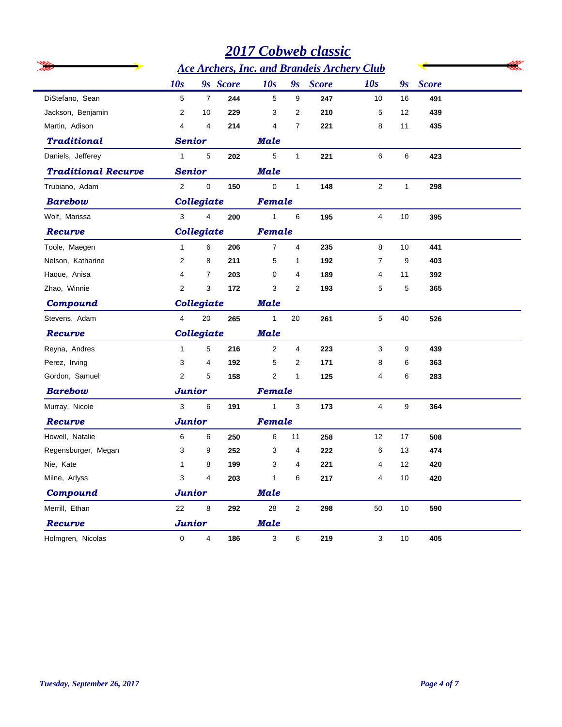|                            |                |                |          |                |                | 2017 Cobweb classic                                |                |              |              |  |
|----------------------------|----------------|----------------|----------|----------------|----------------|----------------------------------------------------|----------------|--------------|--------------|--|
|                            |                |                |          |                |                | <b>Ace Archers, Inc. and Brandeis Archery Club</b> |                |              |              |  |
|                            | 10s            |                | 9s Score | 10s            |                | 9s Score                                           | 10s            | 9s           | <b>Score</b> |  |
| DiStefano, Sean            | 5              | $\overline{7}$ | 244      | 5              | 9              | 247                                                | 10             | 16           | 491          |  |
| Jackson, Benjamin          | 2              | 10             | 229      | 3              | $\overline{2}$ | 210                                                | 5              | 12           | 439          |  |
| Martin, Adison             | $\overline{4}$ | $\overline{4}$ | 214      | 4              | $\overline{7}$ | 221                                                | 8              | 11           | 435          |  |
| <b>Traditional</b>         | <b>Senior</b>  |                |          | Male           |                |                                                    |                |              |              |  |
| Daniels, Jefferey          | $\mathbf{1}$   | 5              | 202      | 5              | $\mathbf{1}$   | 221                                                | 6              | 6            | 423          |  |
| <b>Traditional Recurve</b> | <b>Senior</b>  |                |          | Male           |                |                                                    |                |              |              |  |
| Trubiano, Adam             | $\overline{2}$ | $\mathbf 0$    | 150      | 0              | $\mathbf{1}$   | 148                                                | $\overline{2}$ | $\mathbf{1}$ | 298          |  |
| <b>Barebow</b>             |                | Collegiate     |          | Female         |                |                                                    |                |              |              |  |
| Wolf, Marissa              | 3              | $\overline{4}$ | 200      | $\mathbf{1}$   | 6              | 195                                                | 4              | 10           | 395          |  |
| Recurve                    |                | Collegiate     |          | Female         |                |                                                    |                |              |              |  |
| Toole, Maegen              | $\mathbf{1}$   | 6              | 206      | $\overline{7}$ | 4              | 235                                                | 8              | 10           | 441          |  |
| Nelson, Katharine          | 2              | 8              | 211      | 5              | 1              | 192                                                | 7              | 9            | 403          |  |
| Haque, Anisa               | 4              | $\overline{7}$ | 203      | 0              | 4              | 189                                                | 4              | 11           | 392          |  |
| Zhao, Winnie               | 2              | 3              | 172      | 3              | 2              | 193                                                | 5              | 5            | 365          |  |
| Compound                   |                | Collegiate     |          | Male           |                |                                                    |                |              |              |  |
| Stevens, Adam              | $\overline{4}$ | 20             | 265      | 1              | 20             | 261                                                | 5              | 40           | 526          |  |
| Recurve                    |                | Collegiate     |          | <b>Male</b>    |                |                                                    |                |              |              |  |
| Reyna, Andres              | $\mathbf{1}$   | 5              | 216      | 2              | 4              | 223                                                | 3              | 9            | 439          |  |
| Perez, Irving              | 3              | 4              | 192      | 5              | $\overline{2}$ | 171                                                | 8              | 6            | 363          |  |
| Gordon, Samuel             | 2              | 5              | 158      | $\overline{2}$ | $\mathbf{1}$   | 125                                                | 4              | 6            | 283          |  |
| <b>Barebow</b>             | <b>Junior</b>  |                |          | Female         |                |                                                    |                |              |              |  |
| Murray, Nicole             | 3              | 6              | 191      | $\mathbf{1}$   | 3              | 173                                                | 4              | 9            | 364          |  |
| Recurve                    | <b>Junior</b>  |                |          | Female         |                |                                                    |                |              |              |  |
| Howell, Natalie            | 6              | 6              | 250      | 6              | 11             | 258                                                | 12             | 17           | 508          |  |
| Regensburger, Megan        | 3              | 9              | 252      | 3              | 4              | 222                                                | 6              | 13           | 474          |  |
| Nie, Kate                  | $\mathbf{1}$   | 8              | 199      | 3              | 4              | 221                                                | 4              | 12           | 420          |  |
| Milne, Arlyss              | 3              | 4              | 203      | $\mathbf{1}$   | 6              | 217                                                | 4              | $10$         | 420          |  |
| <b>Compound</b>            | <b>Junior</b>  |                |          | <b>Male</b>    |                |                                                    |                |              |              |  |
| Merrill, Ethan             | 22             | $\bf 8$        | 292      | 28             | $\overline{2}$ | 298                                                | 50             | 10           | 590          |  |
| Recurve                    | <b>Junior</b>  |                |          | <b>Male</b>    |                |                                                    |                |              |              |  |
| Holmgren, Nicolas          | $\overline{0}$ | $\overline{4}$ | 186      | $\mathbf{3}$   | $\,6$          | 219                                                | $\mathbf{3}$   | $10$         | 405          |  |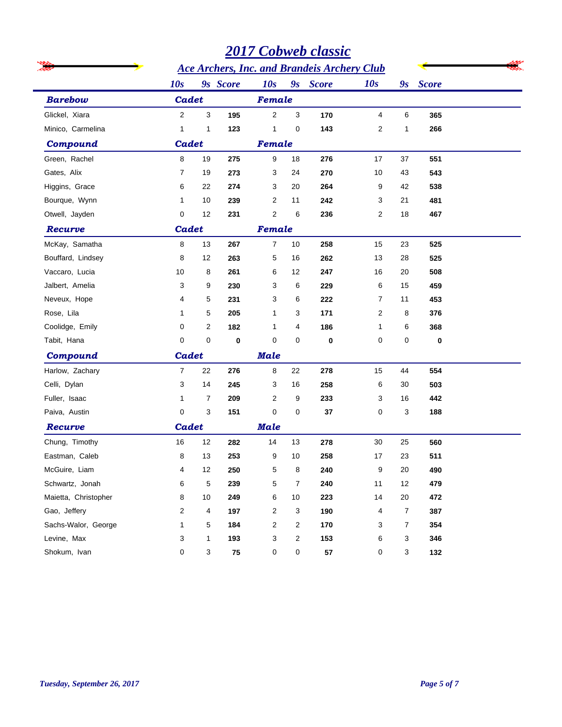|                      |                |                                                    |            |                |                | <b>2017 Cobweb classic</b> |                         |                |          |  |
|----------------------|----------------|----------------------------------------------------|------------|----------------|----------------|----------------------------|-------------------------|----------------|----------|--|
|                      |                | <b>Ace Archers, Inc. and Brandeis Archery Club</b> |            |                |                |                            |                         |                |          |  |
|                      | 10s            |                                                    | 9s Score   | 10s            |                | 9 <sub>s</sub> Score       | 10s                     |                | 9s Score |  |
| <b>Barebow</b>       | Cadet          |                                                    |            | Female         |                |                            |                         |                |          |  |
| Glickel, Xiara       | $\overline{2}$ | 3                                                  | 195        | $\overline{c}$ | 3              | 170                        | $\overline{\mathbf{4}}$ | $\,6\,$        | 365      |  |
| Minico, Carmelina    | 1              | $\mathbf{1}$                                       | 123        | 1              | 0              | 143                        | 2                       | 1              | 266      |  |
| Compound             | Cadet          |                                                    |            | Female         |                |                            |                         |                |          |  |
| Green, Rachel        | 8              | 19                                                 | 275        | 9              | 18             | 276                        | 17                      | 37             | 551      |  |
| Gates, Alix          | 7              | 19                                                 | 273        | 3              | 24             | 270                        | 10                      | 43             | 543      |  |
| Higgins, Grace       | 6              | 22                                                 | 274        | 3              | 20             | 264                        | 9                       | 42             | 538      |  |
| Bourque, Wynn        | $\mathbf{1}$   | 10                                                 | 239        | 2              | 11             | 242                        | 3                       | 21             | 481      |  |
| Otwell, Jayden       | 0              | 12                                                 | 231        | $\overline{2}$ | 6              | 236                        | $\overline{\mathbf{c}}$ | 18             | 467      |  |
| Recurve              | Cadet          |                                                    |            | Female         |                |                            |                         |                |          |  |
| McKay, Samatha       | 8              | 13                                                 | 267        | 7              | 10             | 258                        | 15                      | 23             | 525      |  |
| Bouffard, Lindsey    | 8              | 12                                                 | 263        | 5              | 16             | 262                        | 13                      | 28             | 525      |  |
| Vaccaro, Lucia       | 10             | 8                                                  | 261        | 6              | 12             | 247                        | 16                      | 20             | 508      |  |
| Jalbert, Amelia      | 3              | 9                                                  | 230        | 3              | 6              | 229                        | 6                       | 15             | 459      |  |
| Neveux, Hope         | 4              | 5                                                  | 231        | 3              | 6              | 222                        | 7                       | 11             | 453      |  |
| Rose, Lila           | 1              | 5                                                  | 205        | 1              | 3              | 171                        | 2                       | 8              | 376      |  |
| Coolidge, Emily      | 0              | 2                                                  | 182        | 1              | 4              | 186                        | 1                       | 6              | 368      |  |
| Tabit, Hana          | 0              | 0                                                  | 0          | 0              | 0              | 0                          | 0                       | 0              | 0        |  |
| Compound             | Cadet          |                                                    |            | <b>Male</b>    |                |                            |                         |                |          |  |
| Harlow, Zachary      | 7              | 22                                                 | 276        | 8              | 22             | 278                        | 15                      | 44             | 554      |  |
| Celli, Dylan         | 3              | 14                                                 | 245        | 3              | 16             | 258                        | 6                       | 30             | 503      |  |
| Fuller, Isaac        | 1              | $\overline{7}$                                     | 209        | 2              | 9              | 233                        | 3                       | 16             | 442      |  |
| Paiva, Austin        | 0              | 3                                                  | 151        | 0              | 0              | 37                         | 0                       | 3              | 188      |  |
| Recurve              | Cadet          |                                                    |            | <b>Male</b>    |                |                            |                         |                |          |  |
| Chung, Timothy       | 16             | 12                                                 | 282        | 14             | 13             | 278                        | 30                      | 25             | 560      |  |
| Eastman, Caleb       | 8              | 13                                                 | 253        | 9              | 10             | 258                        | 17                      | 23             | 511      |  |
| McGuire, Liam        | 4              | 12                                                 | 250        | 5              | 8              | 240                        | 9                       | 20             | 490      |  |
| Schwartz, Jonah      | 6              | 5                                                  | 239        | 5              | $\overline{7}$ | 240                        | 11                      | 12             | 479      |  |
| Maietta, Christopher | 8              | 10                                                 | 249        | 6              | 10             | 223                        | 14                      | 20             | 472      |  |
| Gao, Jeffery         | 2              | 4                                                  | 197        | 2              | 3              | 190                        | 4                       | $\overline{7}$ | 387      |  |
| Sachs-Walor, George  | $\mathbf{1}$   | 5                                                  | 184        | 2              | $\overline{2}$ | 170                        | 3                       | $\overline{7}$ | 354      |  |
| Levine, Max          | 3              | $\mathbf{1}$                                       | 193        | 3              | $\overline{2}$ | 153                        | 6                       | 3              | 346      |  |
| Shokum, Ivan         | 0              | 3                                                  | ${\bf 75}$ | 0              | 0              | ${\bf 57}$                 | 0                       | 3              | 132      |  |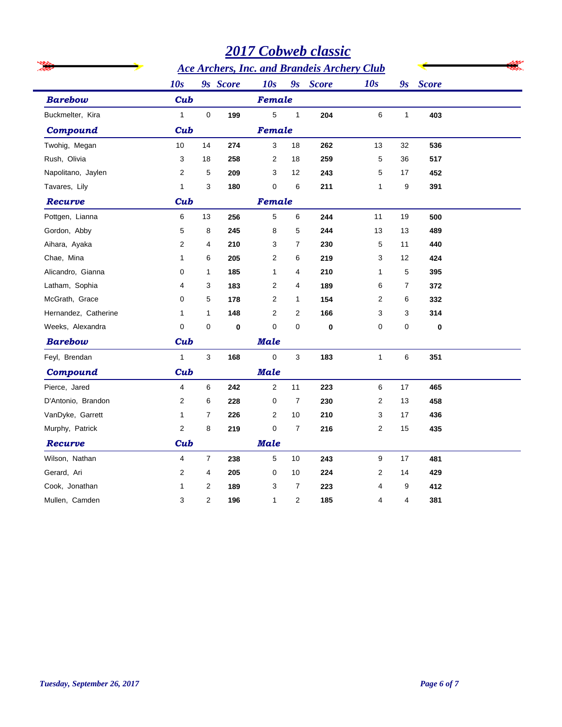|                      |                |                |          |                |                | 2017 Cobweb classic                                |                |                |              |  |
|----------------------|----------------|----------------|----------|----------------|----------------|----------------------------------------------------|----------------|----------------|--------------|--|
|                      |                |                |          |                |                | <b>Ace Archers, Inc. and Brandeis Archery Club</b> |                |                |              |  |
|                      | 10s            |                | 9s Score | 10s            | 9s             | <b>Score</b>                                       | 10s            | 9s             | <b>Score</b> |  |
| <b>Barebow</b>       | Cub            |                |          | <b>Female</b>  |                |                                                    |                |                |              |  |
| Buckmelter, Kira     | $\mathbf{1}$   | 0              | 199      | 5              | $\mathbf{1}$   | 204                                                | 6              | $\mathbf{1}$   | 403          |  |
| <b>Compound</b>      | Cub            |                |          | Female         |                |                                                    |                |                |              |  |
| Twohig, Megan        | 10             | 14             | 274      | 3              | 18             | 262                                                | 13             | 32             | 536          |  |
| Rush, Olivia         | 3              | 18             | 258      | $\overline{2}$ | 18             | 259                                                | 5              | 36             | 517          |  |
| Napolitano, Jaylen   | 2              | 5              | 209      | 3              | 12             | 243                                                | 5              | 17             | 452          |  |
| Tavares, Lily        | $\mathbf{1}$   | 3              | 180      | $\mathbf 0$    | 6              | 211                                                | $\mathbf{1}$   | 9              | 391          |  |
| Recurve              | Cub            |                |          | Female         |                |                                                    |                |                |              |  |
| Pottgen, Lianna      | 6              | 13             | 256      | 5              | 6              | 244                                                | 11             | 19             | 500          |  |
| Gordon, Abby         | 5              | 8              | 245      | 8              | 5              | 244                                                | 13             | 13             | 489          |  |
| Aihara, Ayaka        | $\overline{2}$ | 4              | 210      | 3              | $\overline{7}$ | 230                                                | 5              | 11             | 440          |  |
| Chae, Mina           | $\mathbf{1}$   | 6              | 205      | 2              | 6              | 219                                                | 3              | 12             | 424          |  |
| Alicandro, Gianna    | 0              | $\mathbf{1}$   | 185      | $\mathbf{1}$   | 4              | 210                                                | $\mathbf{1}$   | 5              | 395          |  |
| Latham, Sophia       | 4              | 3              | 183      | 2              | 4              | 189                                                | 6              | $\overline{7}$ | 372          |  |
| McGrath, Grace       | 0              | 5              | 178      | 2              | 1              | 154                                                | 2              | 6              | 332          |  |
| Hernandez, Catherine | $\mathbf{1}$   | 1              | 148      | $\overline{2}$ | 2              | 166                                                | 3              | 3              | 314          |  |
| Weeks, Alexandra     | $\mathbf 0$    | 0              | 0        | $\mathbf 0$    | $\mathbf 0$    | $\bf{0}$                                           | 0              | 0              | 0            |  |
| <b>Barebow</b>       | Cub            |                |          | Male           |                |                                                    |                |                |              |  |
| Feyl, Brendan        | $\mathbf{1}$   | 3              | 168      | $\Omega$       | 3              | 183                                                | $\mathbf{1}$   | 6              | 351          |  |
| <b>Compound</b>      | Cub            |                |          | <b>Male</b>    |                |                                                    |                |                |              |  |
| Pierce, Jared        | 4              | 6              | 242      | 2              | 11             | 223                                                | 6              | 17             | 465          |  |
| D'Antonio, Brandon   | $\overline{2}$ | 6              | 228      | 0              | $\overline{7}$ | 230                                                | 2              | 13             | 458          |  |
| VanDyke, Garrett     | $\mathbf{1}$   | 7              | 226      | 2              | 10             | 210                                                | 3              | 17             | 436          |  |
| Murphy, Patrick      | 2              | 8              | 219      | $\Omega$       | $\overline{7}$ | 216                                                | 2              | 15             | 435          |  |
| Recurve              | Cub            |                |          | <b>Male</b>    |                |                                                    |                |                |              |  |
| Wilson, Nathan       | 4              | 7              | 238      | 5              | 10             | 243                                                | 9              | 17             | 481          |  |
| Gerard, Ari          | $\overline{2}$ | 4              | 205      | 0              | 10             | 224                                                | 2              | 14             | 429          |  |
| Cook, Jonathan       | 1              | $\overline{2}$ | 189      | 3              | $\overline{7}$ | 223                                                | 4              | 9              | 412          |  |
| Mullen, Camden       | 3              | $\overline{2}$ | 196      | $\mathbf{1}$   | $\overline{2}$ | 185                                                | $\overline{4}$ | 4              | 381          |  |